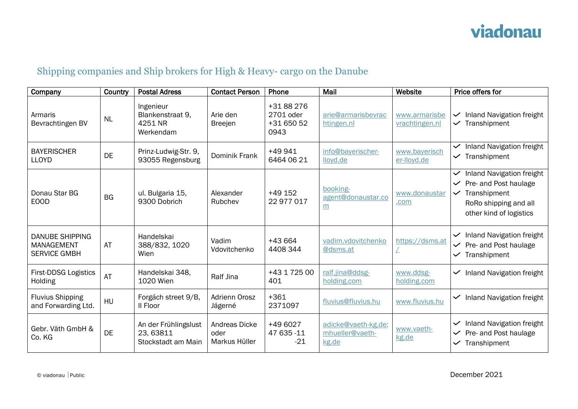## Shipping companies and Ship brokers for High & Heavy- cargo on the Danube

| Company                                                            | Country   | <b>Postal Adress</b>                                   | <b>Contact Person</b>                  | Phone                                       | Mail                                            | Website                         | Price offers for                                                                                                                                              |
|--------------------------------------------------------------------|-----------|--------------------------------------------------------|----------------------------------------|---------------------------------------------|-------------------------------------------------|---------------------------------|---------------------------------------------------------------------------------------------------------------------------------------------------------------|
| Armaris<br>Bevrachtingen BV                                        | <b>NL</b> | Ingenieur<br>Blankenstraat 9,<br>4251 NR<br>Werkendam  | Arie den<br><b>Breejen</b>             | +3188276<br>2701 oder<br>+31 650 52<br>0943 | arie@armarisbevrac<br>htingen.nl                | www.armarisbe<br>vrachtingen.nl | <b>Inland Navigation freight</b><br>$\checkmark$<br>Transhipment<br>$\checkmark$                                                                              |
| <b>BAYERISCHER</b><br><b>LLOYD</b>                                 | DE        | Prinz-Ludwig-Str. 9,<br>93055 Regensburg               | Dominik Frank                          | +49 941<br>6464 06 21                       | info@bayerischer-<br>lloyd.de                   | www.bayerisch<br>er-lloyd.de    | <b>Inland Navigation freight</b><br>$\checkmark$<br>Transhipment<br>$\checkmark$                                                                              |
| Donau Star BG<br><b>EOOD</b>                                       | <b>BG</b> | ul. Bulgaria 15,<br>9300 Dobrich                       | Alexander<br>Rubchev                   | +49 152<br>22 977 017                       | booking-<br>agent@donaustar.co<br>m             | www.donaustar<br>.com           | <b>Inland Navigation freight</b><br>$\checkmark$<br>Pre- and Post haulage<br>Transhipment<br>$\checkmark$<br>RoRo shipping and all<br>other kind of logistics |
| <b>DANUBE SHIPPING</b><br><b>MANAGEMENT</b><br><b>SERVICE GMBH</b> | AT        | Handelskai<br>388/832, 1020<br>Wien                    | Vadim<br>Vdovitchenko                  | +43 664<br>4408 344                         | vadim.vdovitchenko<br>@dsms.at                  | https://dsms.at                 | <b>Inland Navigation freight</b><br>$\checkmark$<br>Pre- and Post haulage<br>$\checkmark$<br>Transhipment<br>$\checkmark$                                     |
| <b>First-DDSG Logistics</b><br>Holding                             | AT        | Handelskai 348,<br>1020 Wien                           | Ralf Jina                              | +43 1 725 00<br>401                         | ralf.jina@ddsg-<br>holding.com                  | www.ddsg-<br>holding.com        | <b>Inland Navigation freight</b><br>$\checkmark$                                                                                                              |
| <b>Fluvius Shipping</b><br>and Forwarding Ltd.                     | HU        | Forgách street 9/B,<br>Il Floor                        | Adrienn Orosz<br>Jágerné               | $+361$<br>2371097                           | fluvius@fluvius.hu                              | www.fluvius.hu                  | Inland Navigation freight<br>$\checkmark$                                                                                                                     |
| Gebr. Väth GmbH &<br>Co. KG                                        | <b>DE</b> | An der Frühlingslust<br>23,63811<br>Stockstadt am Main | Andreas Dicke<br>oder<br>Markus Hüller | +49 6027<br>47 635 - 11<br>$-21$            | adicke@vaeth-kg.de;<br>mhueller@vaeth-<br>kg.de | www.vaeth-<br>kg.de             | <b>Inland Navigation freight</b><br>$\checkmark$<br>Pre- and Post haulage<br>$\checkmark$<br>Transhipment<br>$\checkmark$                                     |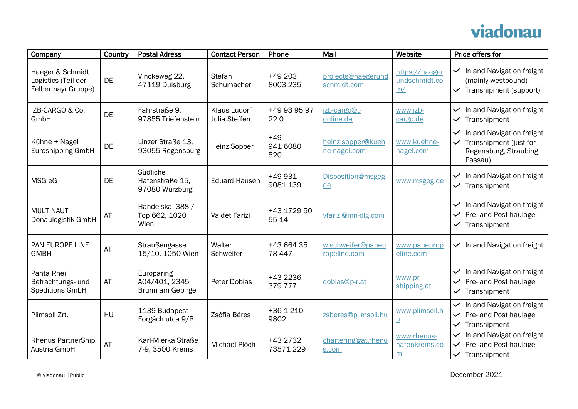## viadonau

| Company                                                       | Country   | <b>Postal Adress</b>                            | <b>Contact Person</b>                | Phone                    | Mail                              | Website                                    | Price offers for                                                                                                          |
|---------------------------------------------------------------|-----------|-------------------------------------------------|--------------------------------------|--------------------------|-----------------------------------|--------------------------------------------|---------------------------------------------------------------------------------------------------------------------------|
| Haeger & Schmidt<br>Logistics (Teil der<br>Felbermayr Gruppe) | <b>DE</b> | Vinckeweg 22,<br>47119 Duisburg                 | <b>Stefan</b><br>Schumacher          | $+49203$<br>8003 235     | projects@haegerund<br>schmidt.com | https://haeger<br>undschmidt.co<br>m/      | Inland Navigation freight<br>$\checkmark$<br>(mainly westbound)<br>Transhipment (support)<br>$\checkmark$                 |
| IZB-CARGO & Co.<br>GmbH                                       | <b>DE</b> | Fahrstraße 9,<br>97855 Triefenstein             | <b>Klaus Ludorf</b><br>Julia Steffen | +49 93 95 97<br>220      | izb-cargo@t-<br>online.de         | www.izb-<br>cargo.de                       | Inland Navigation freight<br>$\checkmark$<br>Transhipment<br>$\checkmark$                                                 |
| Kühne + Nagel<br>Euroshipping GmbH                            | <b>DE</b> | Linzer Straße 13.<br>93055 Regensburg           | Heinz Sopper                         | $+49$<br>941 6080<br>520 | heinz.sopper@kueh<br>ne-nagel.com | www.kuehne-<br>nagel.com                   | Inland Navigation freight<br>$\checkmark$<br>Transhipment (just for<br>Regensburg, Straubing,<br>Passau)                  |
| MSG eG                                                        | <b>DE</b> | Südliche<br>Hafenstraße 15,<br>97080 Würzburg   | <b>Eduard Hausen</b>                 | +49 931<br>9081 139      | Disposition@msgeg.<br>de          | www.msgeg.de                               | <b>Inland Navigation freight</b><br>$\checkmark$<br>$\checkmark$ Transhipment                                             |
| <b>MULTINAUT</b><br>Donaulogistik GmbH                        | AT        | Handelskai 388 /<br>Top 662, 1020<br>Wien       | Valdet Farizi                        | +43 1729 50<br>55 14     | vfarizi@mn-dlg.com                |                                            | <b>Inland Navigation freight</b><br>$\checkmark$<br>Pre- and Post haulage<br>$\checkmark$<br>Transhipment<br>$\checkmark$ |
| PAN EUROPE LINE<br><b>GMBH</b>                                | AT        | Straußengasse<br>15/10, 1050 Wien               | Walter<br>Schweifer                  | +43 664 35<br>78 447     | w.schweifer@paneu<br>ropeline.com | www.paneurop<br>eline.com                  | $\checkmark$ Inland Navigation freight                                                                                    |
| Panta Rhei<br>Befrachtungs- und<br><b>Speditions GmbH</b>     | AT        | Europaring<br>A04/401, 2345<br>Brunn am Gebirge | Peter Dobias                         | +43 2236<br>379777       | dobias@p-r.at                     | www.pr-<br>shipping.at                     | <b>Inland Navigation freight</b><br>$\vee$ Pre- and Post haulage<br>Transhipment<br>$\checkmark$                          |
| Plimsoll Zrt.                                                 | HU        | 1139 Budapest<br>Forgách utca 9/B               | Zsófia Béres                         | +36 1 210<br>9802        | zsberes@plimsoll.hu               | www.plimsoll.h<br>$\underline{\mathsf{u}}$ | <b>Inland Navigation freight</b><br>Pre- and Post haulage<br>$\checkmark$<br>Transhipment<br>$\checkmark$                 |
| <b>Rhenus PartnerShip</b><br>Austria GmbH                     | AT        | Karl-Mierka Straße<br>7-9, 3500 Krems           | Michael Plöch                        | +43 2732<br>73571229     | chartering@at.rhenu<br>s.com      | www.rhenus-<br>hafenkrems.co<br>m          | <b>Inland Navigation freight</b><br>$\checkmark$<br>Pre- and Post haulage<br>$\checkmark$<br>Transhipment<br>$\checkmark$ |

 $\circ$  viadonau Public December 2021